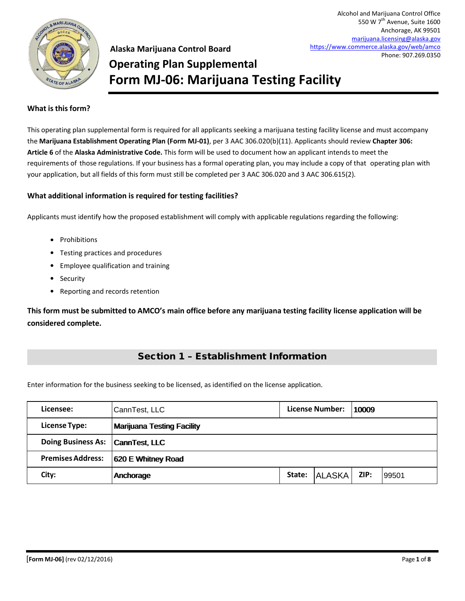

Alcohol and Marijuana Control Office 550 W 7<sup>th</sup> Avenue, Suite 1600 Anchorage, AK 99501 marijuana.licensing@alaska.gov https://www.commerce.alaska.gov/web/amco Phone: 907.269.0350

## **Alaska Marijuana Control Board Operating Plan Supplemental Form MJ-06: Marijuana Testing Facility**

#### **What isthisform?**

This operating plan supplemental form is required for all applicants seeking a marijuana testing facility license and must accompany the **Marijuana Establishment Operating Plan (Form MJ-01)**, per 3 AAC 306.020(b)(11). Applicants should review **Chapter 306: Article 6** of the **Alaska Administrative Code.** This form will be used to document how an applicant intends to meet the requirements of those regulations. If your business has a formal operating plan, you may include a copy of that operating plan with your application, but all fields of this form must still be completed per 3 AAC 306.020 and 3 AAC 306.615(2).

#### **What additional information is required for testing facilities?**

Applicants must identify how the proposed establishment will comply with applicable regulations regarding the following:

- Prohibitions
- Testing practices and procedures
- Employee qualification and training
- Security
- Reporting and records retention

**This form must be submitted to AMCO's main office before any marijuana testing facility license application will be considered complete.**

### Section 1 – Establishment Information

Enter information for the business seeking to be licensed, as identified on the license application.

| Licensee:                        | CannTest, LLC                     |        | <b>License Number:</b> | 10009 |       |
|----------------------------------|-----------------------------------|--------|------------------------|-------|-------|
| <b>License Type:</b>             | <b>Marijuana Testing Facility</b> |        |                        |       |       |
| Doing Business As: CannTest, LLC |                                   |        |                        |       |       |
| <b>Premises Address:</b>         | 620 E Whitney Road                |        |                        |       |       |
| City:                            | Anchorage                         | State: | <b>ALASKA</b>          | ZIP:  | 99501 |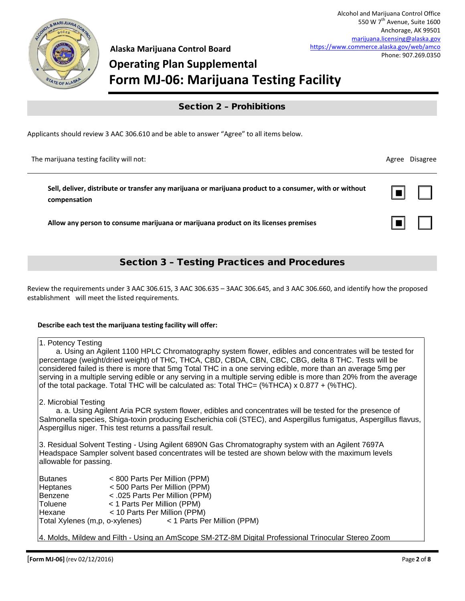

☐ ☐

■

■

☐ ☐

# **Operating Plan Supplemental Form MJ-06: Marijuana Testing Facility**

### Section 2 – Prohibitions

Applicants should review 3 AAC 306.610 and be able to answer "Agree" to all items below.

The marijuana testing facility will not: Agree Disagree Disagree Disagree Disagree Disagree Disagree Disagree

**Sell, deliver, distribute or transfer any marijuana or marijuana product to a consumer, with or without compensation**

**Allow any person to consume marijuana or marijuana product on its licenses premises**

### Section 3 – Testing Practices and Procedures

Review the requirements under 3 AAC 306.615, 3 AAC 306.635 – 3AAC 306.645, and 3 AAC 306.660, and identify how the proposed establishment will meet the listed requirements.

#### **Describe each test the marijuana testing facility will offer:**

| 1. Potency Testing<br>a. Using an Agilent 1100 HPLC Chromatography system flower, edibles and concentrates will be tested for<br>percentage (weight/dried weight) of THC, THCA, CBD, CBDA, CBN, CBC, CBG, delta 8 THC. Tests will be<br>considered failed is there is more that 5mg Total THC in a one serving edible, more than an average 5mg per<br>serving in a multiple serving edible or any serving in a multiple serving edible is more than 20% from the average<br>of the total package. Total THC will be calculated as: Total THC= $(\%THCA) \times 0.877 + (\%THC)$ . |                                                                                                                                                                                                                              |  |  |  |  |
|------------------------------------------------------------------------------------------------------------------------------------------------------------------------------------------------------------------------------------------------------------------------------------------------------------------------------------------------------------------------------------------------------------------------------------------------------------------------------------------------------------------------------------------------------------------------------------|------------------------------------------------------------------------------------------------------------------------------------------------------------------------------------------------------------------------------|--|--|--|--|
| 2. Microbial Testing<br>a. a. Using Agilent Aria PCR system flower, edibles and concentrates will be tested for the presence of<br>Salmonella species, Shiga-toxin producing Escherichia coli (STEC), and Aspergillus fumigatus, Aspergillus flavus,<br>Aspergillus niger. This test returns a pass/fail result.                                                                                                                                                                                                                                                                   |                                                                                                                                                                                                                              |  |  |  |  |
| 3. Residual Solvent Testing - Using Agilent 6890N Gas Chromatography system with an Agilent 7697A<br>Headspace Sampler solvent based concentrates will be tested are shown below with the maximum levels<br>allowable for passing.                                                                                                                                                                                                                                                                                                                                                 |                                                                                                                                                                                                                              |  |  |  |  |
| lButanes<br>Heptanes<br> Benzene<br><b>Toluene</b><br>Hexane                                                                                                                                                                                                                                                                                                                                                                                                                                                                                                                       | < 800 Parts Per Million (PPM)<br><500 Parts Per Million (PPM)<br>< .025 Parts Per Million (PPM)<br>< 1 Parts Per Million (PPM)<br>< 10 Parts Per Million (PPM)<br>Total Xylenes (m,p, o-xylenes) < 1 Parts Per Million (PPM) |  |  |  |  |

4. Molds, Mildew and Filth - Using an AmScope SM-2TZ-8M Digital Professional Trinocular Stereo Zoom Microscope with up to 90x magnification and and an 8MB camera flower will be examined and photographed to 90x magnification and photographed to 90x magnification and photographed to 90x magnification and photographed to 9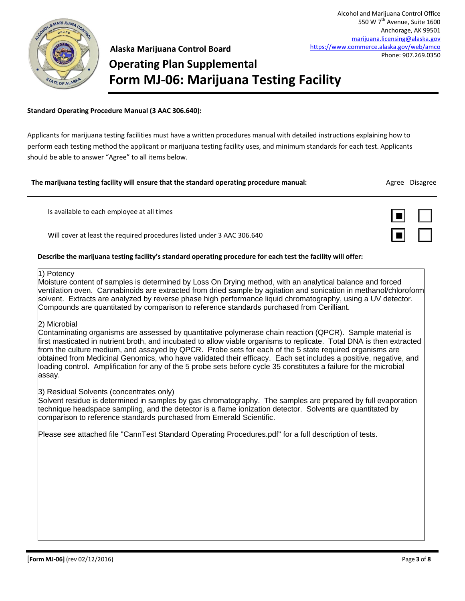

550 W 7<sup>th</sup> Avenue, Suite 1600 Anchorage, AK 99501 marijuana.licensing@alaska.gov https://www.commerce.alaska.gov/web/amco Phone: 907.269.0350

Alcohol and Marijuana Control Office

## **Alaska Marijuana Control Board Operating Plan Supplemental Form MJ-06: Marijuana Testing Facility**

#### **Standard Operating Procedure Manual (3 AAC 306.640):**

Applicants for marijuana testing facilities must have a written procedures manual with detailed instructions explaining how to perform each testing method the applicant or marijuana testing facility uses, and minimum standards for each test. Applicants should be able to answer "Agree" to all items below.

#### **The marijuana testing facility will ensure that the standard operating procedure manual:** Agree Disagree Disagree

Is available to each employee at all times

Will cover at least the required procedures listed under 3 AAC 306.640

#### **Describe the marijuana testing facility's standard operating procedure for each test the facility will offer:**

#### 1) Potency

Moisture content of samples is determined by Loss On Drying method, with an analytical balance and forced ventilation oven. Cannabinoids are extracted from dried sample by agitation and sonication in methanol/chloroform solvent. Extracts are analyzed by reverse phase high performance liquid chromatography, using a UV detector. Compounds are quantitated by comparison to reference standards purchased from Cerilliant.

#### 2) Microbial

Contaminating organisms are assessed by quantitative polymerase chain reaction (QPCR). Sample material is first masticated in nutrient broth, and incubated to allow viable organisms to replicate. Total DNA is then extracted from the culture medium, and assayed by QPCR. Probe sets for each of the 5 state required organisms are obtained from Medicinal Genomics, who have validated their efficacy. Each set includes a positive, negative, and loading control. Amplification for any of the 5 probe sets before cycle 35 constitutes a failure for the microbial assay.

3) Residual Solvents (concentrates only)

Solvent residue is determined in samples by gas chromatography. The samples are prepared by full evaporation technique headspace sampling, and the detector is a flame ionization detector. Solvents are quantitated by comparison to reference standards purchased from Emerald Scientific.

Please see attached file "CannTest Standard Operating Procedures.pdf" for a full description of tests.

[**Form MJ-06]** (rev 02/12/2016) Page **3** of **8**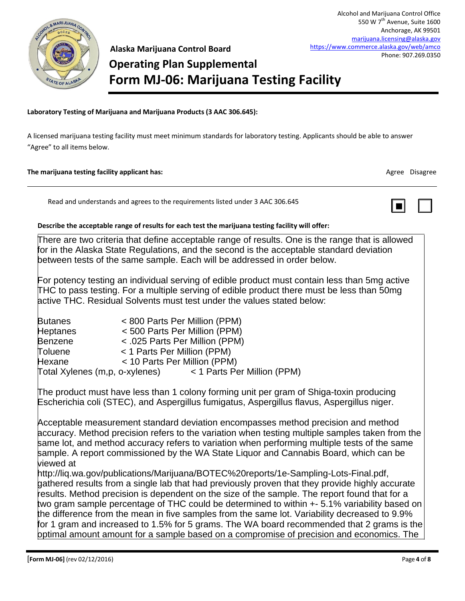

**Alaska Marijuana Control Board Operating Plan Supplemental Form MJ-06: Marijuana Testing Facility**

#### **Laboratory Testing of Marijuana and Marijuana Products (3 AAC 306.645):**

A licensed marijuana testing facility must meet minimum standards for laboratory testing. Applicants should be able to answer "Agree" to all items below.

#### **The marijuana testing facility applicant has:** Agree Disagree **Constanting in the marijuana testing facility applicant has:** Agree Disagree **Disagree Agree Disagree**

Read and understands and agrees to the requirements listed under 3 AAC 306.645



#### **Describe the acceptable range of results for each test the marijuana testing facility will offer:**

There are two criteria that define acceptable range of results. One is the range that is allowed for in the Alaska State Regulations, and the second is the acceptable standard deviation between tests of the same sample. Each will be addressed in order below.

For potency testing an individual serving of edible product must contain less than 5mg active THC to pass testing. For a multiple serving of edible product there must be less than 50mg active THC. Residual Solvents must test under the values stated below:

| <b>Butanes</b> |                                | < 800 Parts Per Million (PPM)  |  |  |  |
|----------------|--------------------------------|--------------------------------|--|--|--|
| Heptanes       |                                | <500 Parts Per Million (PPM)   |  |  |  |
| Benzene        |                                | < .025 Parts Per Million (PPM) |  |  |  |
| Toluene        |                                | < 1 Parts Per Million (PPM)    |  |  |  |
| Hexane         |                                | < 10 Parts Per Million (PPM)   |  |  |  |
|                | Total Xylenes (m,p, o-xylenes) | < 1 Parts Per Million (PPM)    |  |  |  |

The product must have less than 1 colony forming unit per gram of Shiga-toxin producing Escherichia coli (STEC), and Aspergillus fumigatus, Aspergillus flavus, Aspergillus niger.

Acceptable measurement standard deviation encompasses method precision and method accuracy. Method precision refers to the variation when testing multiple samples taken from the same lot, and method accuracy refers to variation when performing multiple tests of the same sample. A report commissioned by the WA State Liquor and Cannabis Board, which can be viewed at

http://liq.wa.gov/publications/Marijuana/BOTEC%20reports/1e-Sampling-Lots-Final.pdf, gathered results from a single lab that had previously proven that they provide highly accurate results. Method precision is dependent on the size of the sample. The report found that for a two gram sample percentage of THC could be determined to within +- 5.1% variability based on the difference from the mean in five samples from the same lot. Variability decreased to 9.9% for 1 gram and increased to 1.5% for 5 grams. The WA board recommended that 2 grams is the optimal amount amount for a sample based on a compromise of precision and economics. The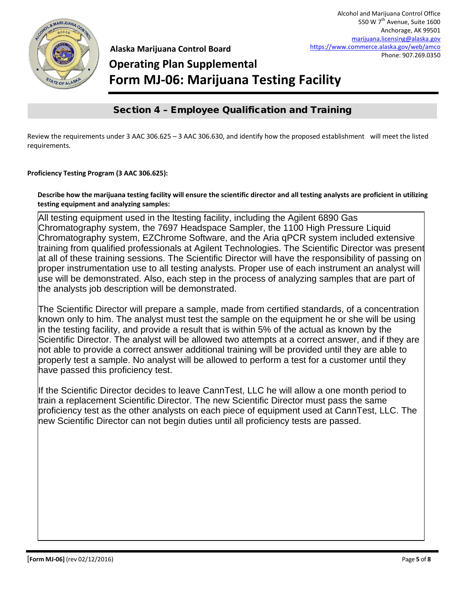

## **Operating Plan Supplemental Form MJ-06: Marijuana Testing Facility**

## Section 4 – Employee Qualification and Training

Review the requirements under 3 AAC 306.625 – 3 AAC 306.630, and identify how the proposed establishment will meet the listed requirements.

**Proficiency Testing Program (3 AAC 306.625):**

**Describe how the marijuana testing facility will ensure the scientific director and all testing analysts are proficient in utilizing testing equipment and analyzing samples:**

All testing equipment used in the ltesting facility, including the Agilent 6890 Gas Chromatography system, the 7697 Headspace Sampler, the 1100 High Pressure Liquid Chromatography system, EZChrome Software, and the Aria qPCR system included extensive training from qualified professionals at Agilent Technologies. The Scientific Director was present at all of these training sessions. The Scientific Director will have the responsibility of passing on proper instrumentation use to all testing analysts. Proper use of each instrument an analyst will use will be demonstrated. Also, each step in the process of analyzing samples that are part of the analysts job description will be demonstrated.

The Scientific Director will prepare a sample, made from certified standards, of a concentration known only to him. The analyst must test the sample on the equipment he or she will be using in the testing facility, and provide a result that is within 5% of the actual as known by the Scientific Director. The analyst will be allowed two attempts at a correct answer, and if they are not able to provide a correct answer additional training will be provided until they are able to properly test a sample. No analyst will be allowed to perform a test for a customer until they have passed this proficiency test.

If the Scientific Director decides to leave CannTest, LLC he will allow a one month period to train a replacement Scientific Director. The new Scientific Director must pass the same proficiency test as the other analysts on each piece of equipment used at CannTest, LLC. The new Scientific Director can not begin duties until all proficiency tests are passed.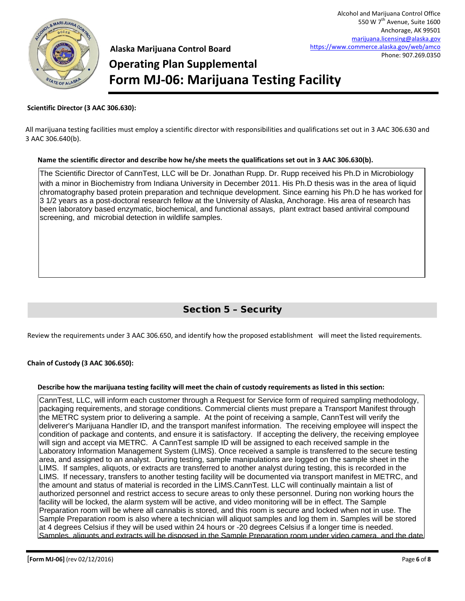

# **Operating Plan Supplemental Form MJ-06: Marijuana Testing Facility**

#### **Scientific Director (3 AAC 306.630):**

All marijuana testing facilities must employ a scientific director with responsibilities and qualifications set out in 3 AAC 306.630 and 3 AAC 306.640(b).

#### **Name the scientific director and describe how he/she meets the qualifications set out in 3 AAC 306.630(b).**

The Scientific Director of CannTest, LLC will be Dr. Jonathan Rupp. Dr. Rupp received his Ph.D in Microbiology with a minor in Biochemistry from Indiana University in December 2011. His Ph.D thesis was in the area of liquid chromatography based protein preparation and technique development. Since earning his Ph.D he has worked for 3 1/2 years as a post-doctoral research fellow at the University of Alaska, Anchorage. His area of research has been laboratory based enzymatic, biochemical, and functional assays, plant extract based antiviral compound screening, and microbial detection in wildlife samples.

### Section 5 – Security

Review the requirements under 3 AAC 306.650, and identify how the proposed establishment will meet the listed requirements.

#### **Chain of Custody (3 AAC 306.650):**

#### **Describe how the marijuana testing facility will meet the chain of custody requirements as listed in this section:**

CannTest, LLC, will inform each customer through a Request for Service form of required sampling methodology, packaging requirements, and storage conditions. Commercial clients must prepare a Transport Manifest through the METRC system prior to delivering a sample. At the point of receiving a sample, CannTest will verify the deliverer's Marijuana Handler ID, and the transport manifest information. The receiving employee will inspect the condition of package and contents, and ensure it is satisfactory. If accepting the delivery, the receiving employee will sign and accept via METRC. A CannTest sample ID will be assigned to each received sample in the Laboratory Information Management System (LIMS). Once received a sample is transferred to the secure testing area, and assigned to an analyst. During testing, sample manipulations are logged on the sample sheet in the LIMS. If samples, aliquots, or extracts are transferred to another analyst during testing, this is recorded in the LIMS. If necessary, transfers to another testing facility will be documented via transport manifest in METRC, and the amount and status of material is recorded in the LIMS.CannTest. LLC will continually maintain a list of authorized personnel and restrict access to secure areas to only these personnel. During non working hours the facility will be locked, the alarm system will be active, and video monitoring will be in effect. The Sample Preparation room will be where all cannabis is stored, and this room is secure and locked when not in use. The Sample Preparation room is also where a technician will aliquot samples and log them in. Samples will be stored at 4 degrees Celsius if they will be used within 24 hours or -20 degrees Celsius if a longer time is needed. Samples, aliquots and extracts will be disposed in the Sample Preparation room under video camera, and the date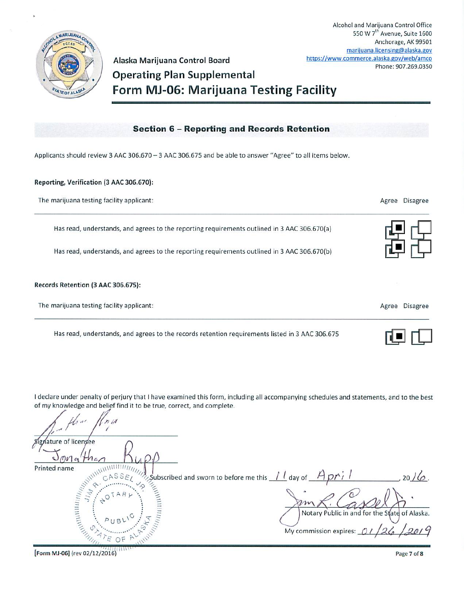

Alaska Marijuana Control Board **Operating Plan Supplemental** Form MJ-06: Marijuana Testing Facility

#### **Section 6 - Reporting and Records Retention**

Applicants should review 3 AAC 306.670 - 3 AAC 306.675 and be able to answer "Agree" to all items below.

#### Reporting, Verification (3 AAC 306.670):

| The marijuana testing facility applicant:                                                    | Agree Disagree           |
|----------------------------------------------------------------------------------------------|--------------------------|
| Has read, understands, and agrees to the reporting requirements outlined in 3 AAC 306.670(a) |                          |
| Has read, understands, and agrees to the reporting requirements outlined in 3 AAC 306.670(b) |                          |
| Records Retention (3 AAC 306.675):                                                           |                          |
| The marijuana testing facility applicant:                                                    | <b>Disagree</b><br>Agree |

Has read, understands, and agrees to the records retention requirements listed in 3 AAC 306.675

I declare under penalty of perjury that I have examined this form, including all accompanying schedules and statements, and to the best of my knowledge and belief find it to be true, correct, and complete.

ENVIRONMENTAL lature of licensee Printed name Subscribed and sworn to before me this <u>11</u> day of  $A$  pri  $20/6$ **WEIGHTER** Notary Public in and for the State of Alaska. My commission expires:

[Form MJ-06] (rev 02/12/2016)